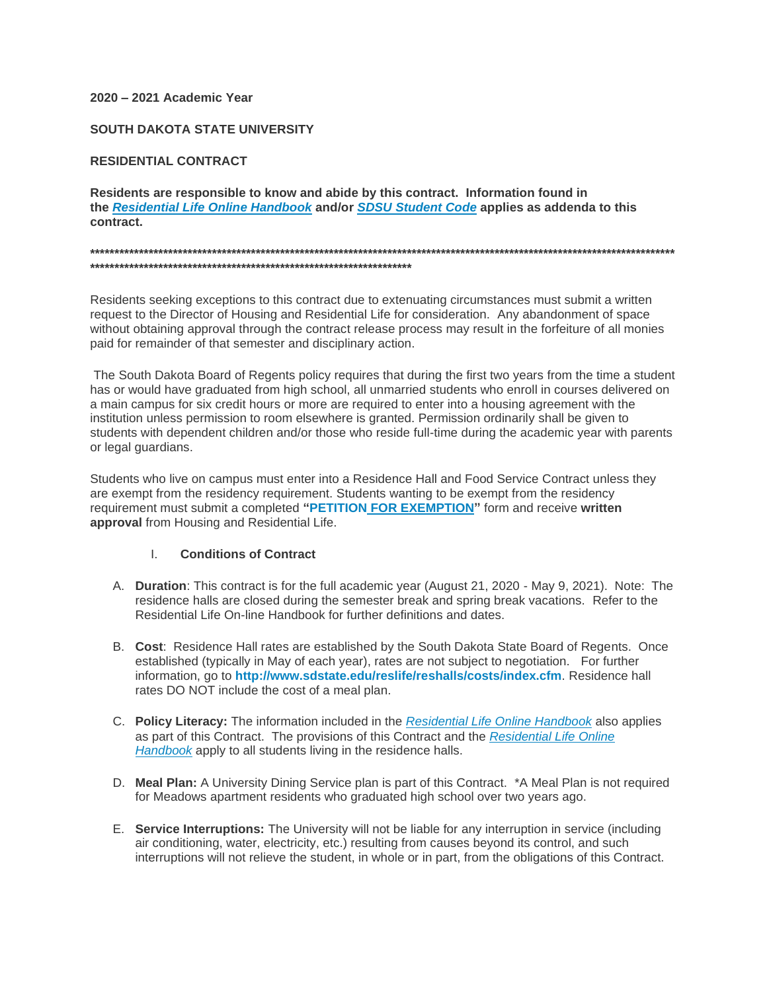### 2020 - 2021 Academic Year

#### **SOUTH DAKOTA STATE UNIVERSITY**

### **RESIDENTIAL CONTRACT**

Residents are responsible to know and abide by this contract. Information found in the Residential Life Online Handbook and/or SDSU Student Code applies as addenda to this contract.

Residents seeking exceptions to this contract due to extenuating circumstances must submit a written request to the Director of Housing and Residential Life for consideration. Any abandonment of space without obtaining approval through the contract release process may result in the forfeiture of all monies paid for remainder of that semester and disciplinary action.

The South Dakota Board of Regents policy requires that during the first two years from the time a student has or would have graduated from high school, all unmarried students who enroll in courses delivered on a main campus for six credit hours or more are required to enter into a housing agreement with the institution unless permission to room elsewhere is granted. Permission ordinarily shall be given to students with dependent children and/or those who reside full-time during the academic year with parents or legal guardians.

Students who live on campus must enter into a Residence Hall and Food Service Contract unless they are exempt from the residency requirement. Students wanting to be exempt from the residency requirement must submit a completed "PETITION FOR EXEMPTION" form and receive written approval from Housing and Residential Life.

#### $\mathbf{L}$ **Conditions of Contract**

- A. Duration: This contract is for the full academic year (August 21, 2020 May 9, 2021). Note: The residence halls are closed during the semester break and spring break vacations. Refer to the Residential Life On-line Handbook for further definitions and dates.
- B. Cost: Residence Hall rates are established by the South Dakota State Board of Regents. Once established (typically in May of each year), rates are not subject to negotiation. For further information, go to http://www.sdstate.edu/reslife/reshalls/costs/index.cfm. Residence hall rates DO NOT include the cost of a meal plan.
- C. Policy Literacy: The information included in the Residential Life Online Handbook also applies as part of this Contract. The provisions of this Contract and the Residential Life Online Handbook apply to all students living in the residence halls.
- D. Meal Plan: A University Dining Service plan is part of this Contract. \*A Meal Plan is not required for Meadows apartment residents who graduated high school over two years ago.
- E. Service Interruptions: The University will not be liable for any interruption in service (including air conditioning, water, electricity, etc.) resulting from causes beyond its control, and such interruptions will not relieve the student, in whole or in part, from the obligations of this Contract.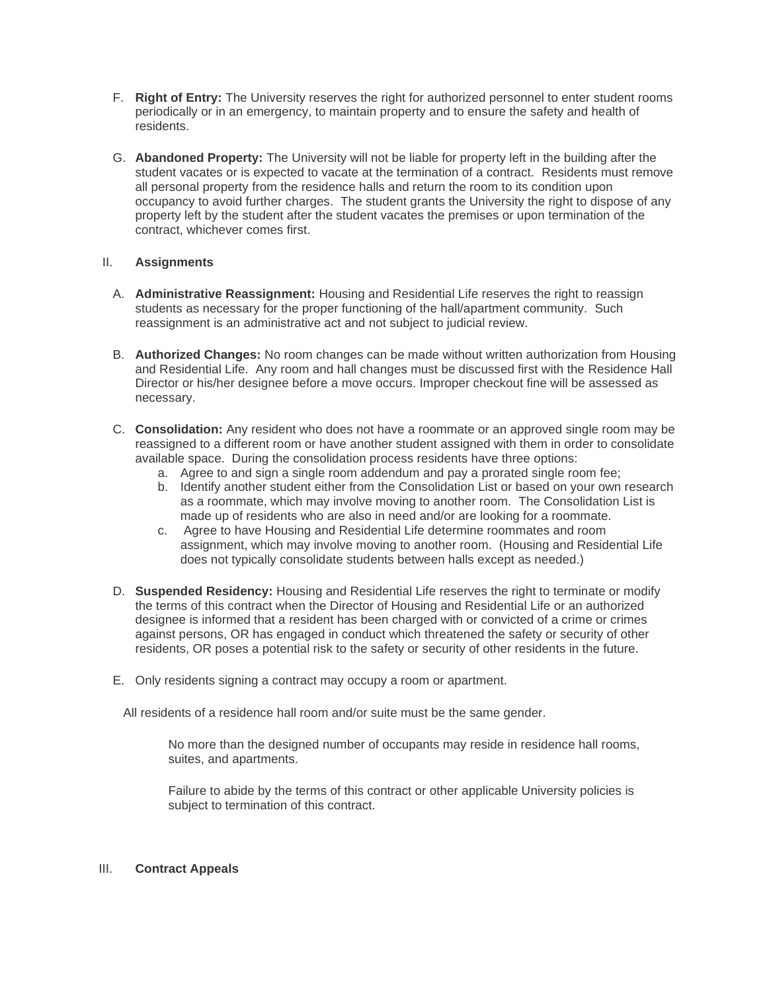- F. **Right of Entry:** The University reserves the right for authorized personnel to enter student rooms periodically or in an emergency, to maintain property and to ensure the safety and health of residents.
- G. **Abandoned Property:** The University will not be liable for property left in the building after the student vacates or is expected to vacate at the termination of a contract. Residents must remove all personal property from the residence halls and return the room to its condition upon occupancy to avoid further charges. The student grants the University the right to dispose of any property left by the student after the student vacates the premises or upon termination of the contract, whichever comes first.

## II. **Assignments**

- A. **Administrative Reassignment:** Housing and Residential Life reserves the right to reassign students as necessary for the proper functioning of the hall/apartment community. Such reassignment is an administrative act and not subject to judicial review.
- B. **Authorized Changes:** No room changes can be made without written authorization from Housing and Residential Life. Any room and hall changes must be discussed first with the Residence Hall Director or his/her designee before a move occurs. Improper checkout fine will be assessed as necessary.
- C. **Consolidation:** Any resident who does not have a roommate or an approved single room may be reassigned to a different room or have another student assigned with them in order to consolidate available space. During the consolidation process residents have three options:
	- a. Agree to and sign a single room addendum and pay a prorated single room fee;
	- b. Identify another student either from the Consolidation List or based on your own research as a roommate, which may involve moving to another room. The Consolidation List is made up of residents who are also in need and/or are looking for a roommate.
	- c. Agree to have Housing and Residential Life determine roommates and room assignment, which may involve moving to another room. (Housing and Residential Life does not typically consolidate students between halls except as needed.)
- D. **Suspended Residency:** Housing and Residential Life reserves the right to terminate or modify the terms of this contract when the Director of Housing and Residential Life or an authorized designee is informed that a resident has been charged with or convicted of a crime or crimes against persons, OR has engaged in conduct which threatened the safety or security of other residents, OR poses a potential risk to the safety or security of other residents in the future.
- E. Only residents signing a contract may occupy a room or apartment.

All residents of a residence hall room and/or suite must be the same gender.

No more than the designed number of occupants may reside in residence hall rooms, suites, and apartments.

Failure to abide by the terms of this contract or other applicable University policies is subject to termination of this contract.

#### III. **Contract Appeals**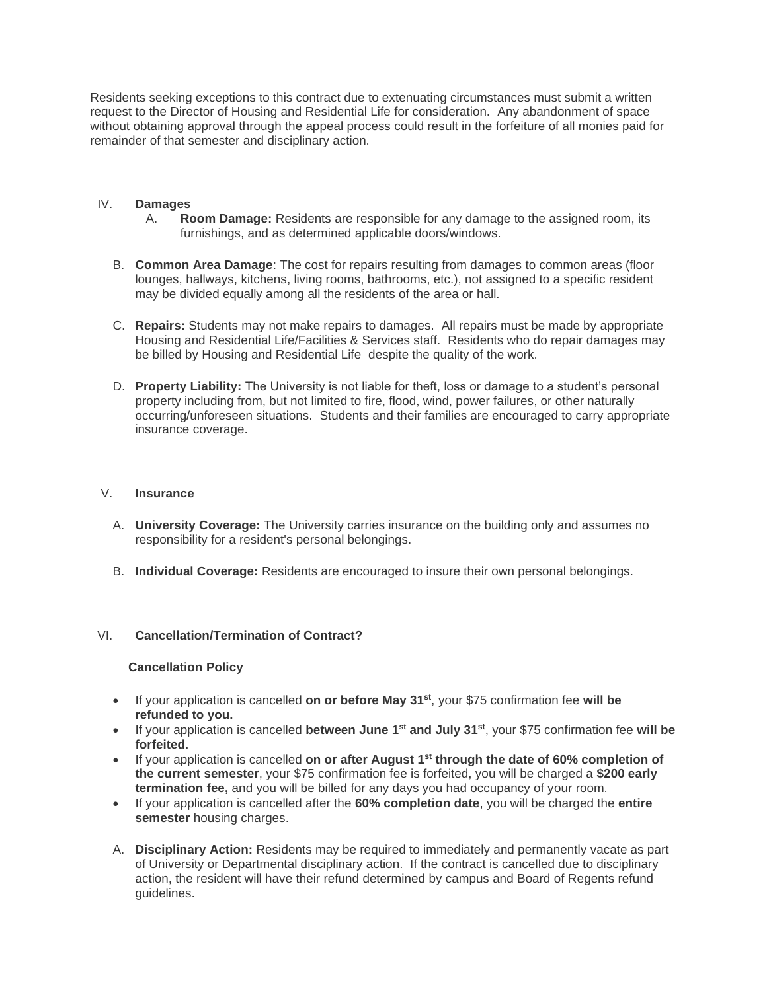Residents seeking exceptions to this contract due to extenuating circumstances must submit a written request to the Director of Housing and Residential Life for consideration. Any abandonment of space without obtaining approval through the appeal process could result in the forfeiture of all monies paid for remainder of that semester and disciplinary action.

### IV. **Damages**

- A. **Room Damage:** Residents are responsible for any damage to the assigned room, its furnishings, and as determined applicable doors/windows.
- B. **Common Area Damage**: The cost for repairs resulting from damages to common areas (floor lounges, hallways, kitchens, living rooms, bathrooms, etc.), not assigned to a specific resident may be divided equally among all the residents of the area or hall.
- C. **Repairs:** Students may not make repairs to damages. All repairs must be made by appropriate Housing and Residential Life/Facilities & Services staff. Residents who do repair damages may be billed by Housing and Residential Life despite the quality of the work.
- D. **Property Liability:** The University is not liable for theft, loss or damage to a student's personal property including from, but not limited to fire, flood, wind, power failures, or other naturally occurring/unforeseen situations. Students and their families are encouraged to carry appropriate insurance coverage.

#### V. **Insurance**

- A. **University Coverage:** The University carries insurance on the building only and assumes no responsibility for a resident's personal belongings.
- B. **Individual Coverage:** Residents are encouraged to insure their own personal belongings.

### VI. **Cancellation/Termination of Contract?**

#### **Cancellation Policy**

- If your application is cancelled **on or before May 31st**, your \$75 confirmation fee **will be refunded to you.**
- If your application is cancelled **between June 1st and July 31st**, your \$75 confirmation fee **will be forfeited**.
- If your application is cancelled **on or after August 1st through the date of 60% completion of the current semester**, your \$75 confirmation fee is forfeited, you will be charged a **\$200 early termination fee,** and you will be billed for any days you had occupancy of your room.
- If your application is cancelled after the **60% completion date**, you will be charged the **entire semester** housing charges.
- A. **Disciplinary Action:** Residents may be required to immediately and permanently vacate as part of University or Departmental disciplinary action. If the contract is cancelled due to disciplinary action, the resident will have their refund determined by campus and Board of Regents refund guidelines.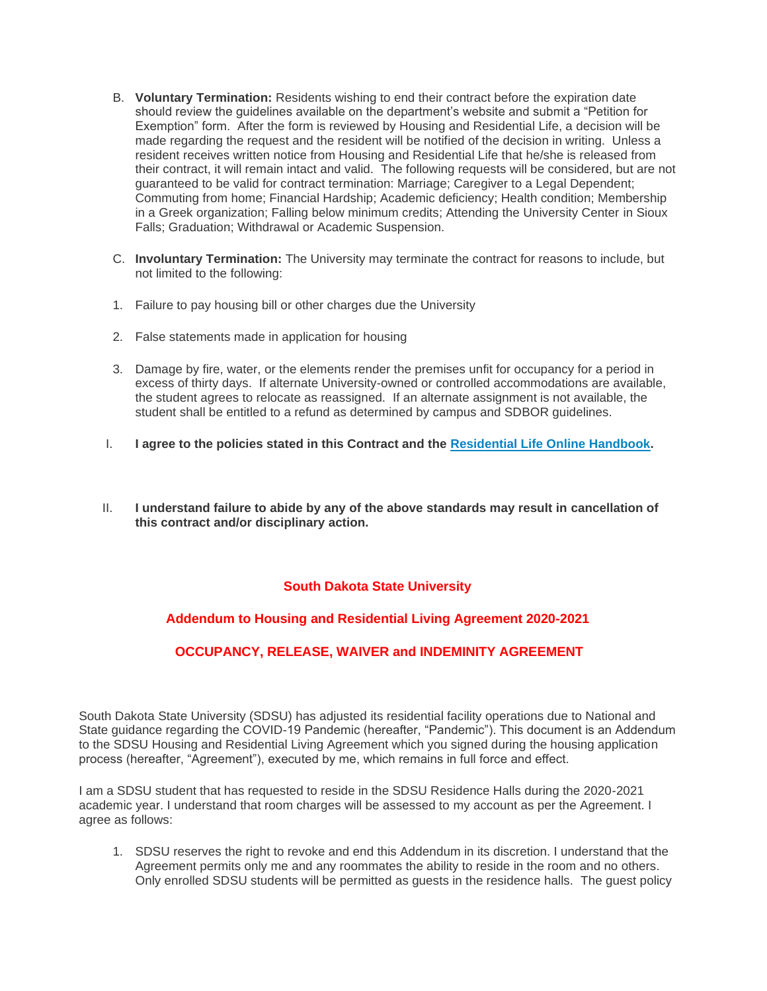- B. **Voluntary Termination:** Residents wishing to end their contract before the expiration date should review the guidelines available on the department's website and submit a "Petition for Exemption" form. After the form is reviewed by Housing and Residential Life, a decision will be made regarding the request and the resident will be notified of the decision in writing. Unless a resident receives written notice from Housing and Residential Life that he/she is released from their contract, it will remain intact and valid. The following requests will be considered, but are not guaranteed to be valid for contract termination: Marriage; Caregiver to a Legal Dependent; Commuting from home; Financial Hardship; Academic deficiency; Health condition; Membership in a Greek organization; Falling below minimum credits; Attending the University Center in Sioux Falls; Graduation; Withdrawal or Academic Suspension.
- C. **Involuntary Termination:** The University may terminate the contract for reasons to include, but not limited to the following:
- 1. Failure to pay housing bill or other charges due the University
- 2. False statements made in application for housing
- 3. Damage by fire, water, or the elements render the premises unfit for occupancy for a period in excess of thirty days. If alternate University-owned or controlled accommodations are available, the student agrees to relocate as reassigned. If an alternate assignment is not available, the student shall be entitled to a refund as determined by campus and SDBOR guidelines.
- I. **I agree to the policies stated in this Contract and the [Residential Life Online Handbook.](https://www.sdstate.edu/sites/default/files/file-archive/2019-08/Housing%20%26%20Residential%20Life%20Handbook-Accessible%20Version.pdf)**
- II. **I understand failure to abide by any of the above standards may result in cancellation of this contract and/or disciplinary action.**

## **South Dakota State University**

# **Addendum to Housing and Residential Living Agreement 2020-2021**

# **OCCUPANCY, RELEASE, WAIVER and INDEMINITY AGREEMENT**

South Dakota State University (SDSU) has adjusted its residential facility operations due to National and State guidance regarding the COVID-19 Pandemic (hereafter, "Pandemic"). This document is an Addendum to the SDSU Housing and Residential Living Agreement which you signed during the housing application process (hereafter, "Agreement"), executed by me, which remains in full force and effect.

I am a SDSU student that has requested to reside in the SDSU Residence Halls during the 2020-2021 academic year. I understand that room charges will be assessed to my account as per the Agreement. I agree as follows:

1. SDSU reserves the right to revoke and end this Addendum in its discretion. I understand that the Agreement permits only me and any roommates the ability to reside in the room and no others. Only enrolled SDSU students will be permitted as guests in the residence halls. The guest policy